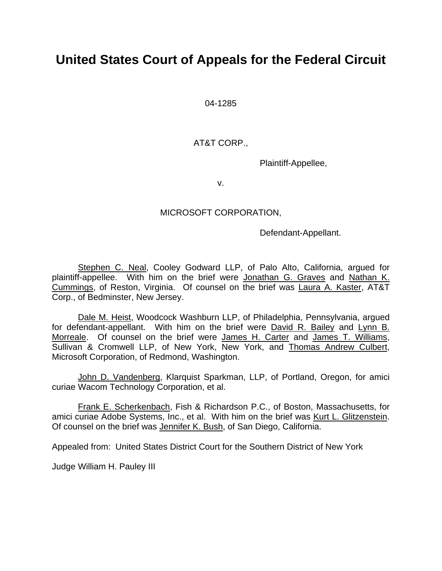# **United States Court of Appeals for the Federal Circuit**

04-1285

# AT&T CORP.,

Plaintiff-Appellee,

v.

## MICROSOFT CORPORATION,

Defendant-Appellant.

Stephen C. Neal, Cooley Godward LLP, of Palo Alto, California, argued for plaintiff-appellee. With him on the brief were Jonathan G. Graves and Nathan K. Cummings, of Reston, Virginia. Of counsel on the brief was Laura A. Kaster, AT&T Corp., of Bedminster, New Jersey.

 Dale M. Heist, Woodcock Washburn LLP, of Philadelphia, Pennsylvania, argued for defendant-appellant. With him on the brief were David R. Bailey and Lynn B. Morreale. Of counsel on the brief were James H. Carter and James T. Williams, Sullivan & Cromwell LLP, of New York, New York, and Thomas Andrew Culbert, Microsoft Corporation, of Redmond, Washington.

 John D. Vandenberg, Klarquist Sparkman, LLP, of Portland, Oregon, for amici curiae Wacom Technology Corporation, et al.

 Frank E. Scherkenbach, Fish & Richardson P.C., of Boston, Massachusetts, for amici curiae Adobe Systems, Inc., et al. With him on the brief was Kurt L. Glitzenstein. Of counsel on the brief was Jennifer K. Bush, of San Diego, California.

Appealed from: United States District Court for the Southern District of New York

Judge William H. Pauley III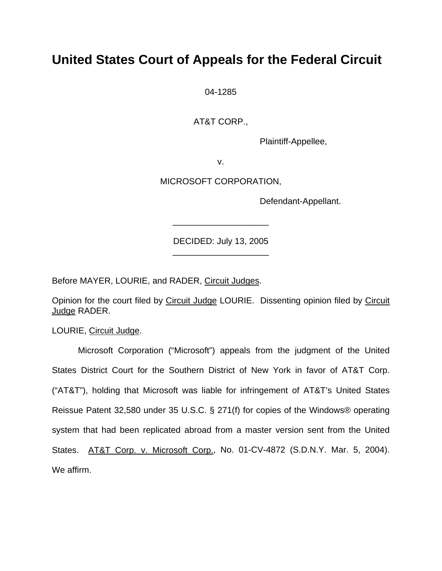# **United States Court of Appeals for the Federal Circuit**

04-1285

AT&T CORP.,

Plaintiff-Appellee,

v.

MICROSOFT CORPORATION,

Defendant-Appellant.

DECIDED: July 13, 2005 \_\_\_\_\_\_\_\_\_\_\_\_\_\_\_\_\_\_\_\_

\_\_\_\_\_\_\_\_\_\_\_\_\_\_\_\_\_\_\_\_

Before MAYER, LOURIE, and RADER, Circuit Judges.

Opinion for the court filed by Circuit Judge LOURIE. Dissenting opinion filed by Circuit Judge RADER.

LOURIE, Circuit Judge.

Microsoft Corporation ("Microsoft") appeals from the judgment of the United States District Court for the Southern District of New York in favor of AT&T Corp. ("AT&T"), holding that Microsoft was liable for infringement of AT&T's United States Reissue Patent 32,580 under 35 U.S.C. § 271(f) for copies of the Windows® operating system that had been replicated abroad from a master version sent from the United States. AT&T Corp. v. Microsoft Corp., No. 01-CV-4872 (S.D.N.Y. Mar. 5, 2004). We affirm.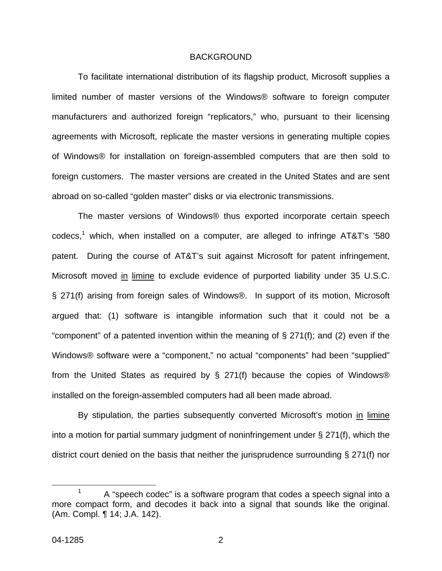#### BACKGROUND

To facilitate international distribution of its flagship product, Microsoft supplies a limited number of master versions of the Windows® software to foreign computer manufacturers and authorized foreign "replicators," who, pursuant to their licensing agreements with Microsoft, replicate the master versions in generating multiple copies of Windows® for installation on foreign-assembled computers that are then sold to foreign customers. The master versions are created in the United States and are sent abroad on so-called "golden master" disks or via electronic transmissions.

The master versions of Windows® thus exported incorporate certain speech codecs,<sup>[1](#page-2-0)</sup> which, when installed on a computer, are alleged to infringe AT&T's '580 patent. During the course of AT&T's suit against Microsoft for patent infringement, Microsoft moved in limine to exclude evidence of purported liability under 35 U.S.C. § 271(f) arising from foreign sales of Windows®. In support of its motion, Microsoft argued that: (1) software is intangible information such that it could not be a "component" of a patented invention within the meaning of  $\S 271(f)$ ; and (2) even if the Windows® software were a "component," no actual "components" had been "supplied" from the United States as required by § 271(f) because the copies of Windows® installed on the foreign-assembled computers had all been made abroad.

By stipulation, the parties subsequently converted Microsoft's motion in limine into a motion for partial summary judgment of noninfringement under § 271(f), which the district court denied on the basis that neither the jurisprudence surrounding § 271(f) nor

<span id="page-2-0"></span> $1 - A$  "speech codec" is a software program that codes a speech signal into a more compact form, and decodes it back into a signal that sounds like the original. (Am. Compl. ¶ 14; J.A. 142).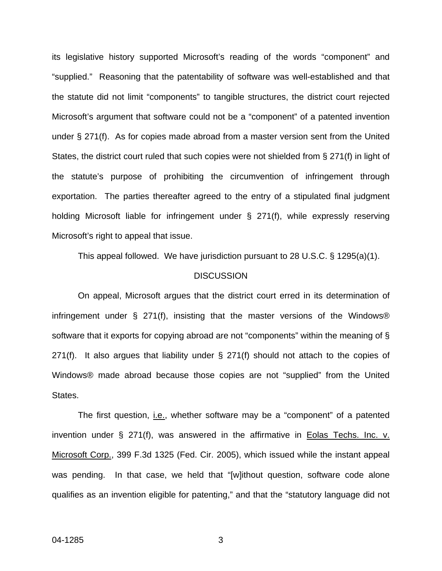its legislative history supported Microsoft's reading of the words "component" and "supplied." Reasoning that the patentability of software was well-established and that the statute did not limit "components" to tangible structures, the district court rejected Microsoft's argument that software could not be a "component" of a patented invention under § 271(f). As for copies made abroad from a master version sent from the United States, the district court ruled that such copies were not shielded from § 271(f) in light of the statute's purpose of prohibiting the circumvention of infringement through exportation. The parties thereafter agreed to the entry of a stipulated final judgment holding Microsoft liable for infringement under § 271(f), while expressly reserving Microsoft's right to appeal that issue.

This appeal followed. We have jurisdiction pursuant to 28 U.S.C. § 1295(a)(1).

#### **DISCUSSION**

On appeal, Microsoft argues that the district court erred in its determination of infringement under § 271(f), insisting that the master versions of the Windows® software that it exports for copying abroad are not "components" within the meaning of § 271(f). It also argues that liability under § 271(f) should not attach to the copies of Windows® made abroad because those copies are not "supplied" from the United States.

The first question, i.e., whether software may be a "component" of a patented invention under  $\S$  271(f), was answered in the affirmative in Eolas Techs. Inc. v. Microsoft Corp., 399 F.3d 1325 (Fed. Cir. 2005), which issued while the instant appeal was pending. In that case, we held that "[w]ithout question, software code alone qualifies as an invention eligible for patenting," and that the "statutory language did not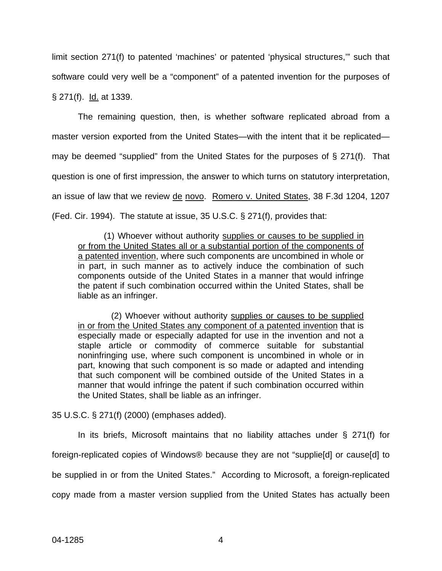limit section 271(f) to patented 'machines' or patented 'physical structures,'" such that software could very well be a "component" of a patented invention for the purposes of § 271(f). Id. at 1339.

The remaining question, then, is whether software replicated abroad from a master version exported from the United States—with the intent that it be replicated may be deemed "supplied" from the United States for the purposes of § 271(f). That question is one of first impression, the answer to which turns on statutory interpretation, an issue of law that we review de novo. Romero v. United States, 38 F.3d 1204, 1207 (Fed. Cir. 1994). The statute at issue, 35 U.S.C. § 271(f), provides that:

(1) Whoever without authority supplies or causes to be supplied in or from the United States all or a substantial portion of the components of a patented invention, where such components are uncombined in whole or in part, in such manner as to actively induce the combination of such components outside of the United States in a manner that would infringe the patent if such combination occurred within the United States, shall be liable as an infringer.

 (2) Whoever without authority supplies or causes to be supplied in or from the United States any component of a patented invention that is especially made or especially adapted for use in the invention and not a staple article or commodity of commerce suitable for substantial noninfringing use, where such component is uncombined in whole or in part, knowing that such component is so made or adapted and intending that such component will be combined outside of the United States in a manner that would infringe the patent if such combination occurred within the United States, shall be liable as an infringer.

35 U.S.C. § 271(f) (2000) (emphases added).

In its briefs, Microsoft maintains that no liability attaches under § 271(f) for foreign-replicated copies of Windows® because they are not "supplie[d] or cause[d] to be supplied in or from the United States." According to Microsoft, a foreign-replicated copy made from a master version supplied from the United States has actually been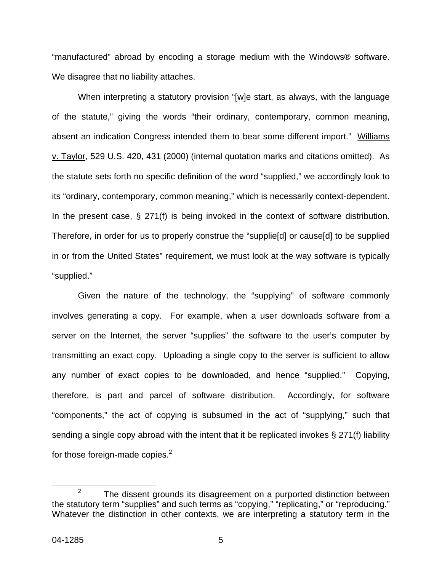"manufactured" abroad by encoding a storage medium with the Windows® software. We disagree that no liability attaches.

When interpreting a statutory provision "[w]e start, as always, with the language of the statute," giving the words "their ordinary, contemporary, common meaning, absent an indication Congress intended them to bear some different import." Williams v. Taylor, 529 U.S. 420, 431 (2000) (internal quotation marks and citations omitted). As the statute sets forth no specific definition of the word "supplied," we accordingly look to its "ordinary, contemporary, common meaning," which is necessarily context-dependent. In the present case,  $\S$  271(f) is being invoked in the context of software distribution. Therefore, in order for us to properly construe the "supplie[d] or cause[d] to be supplied in or from the United States" requirement, we must look at the way software is typically "supplied."

Given the nature of the technology, the "supplying" of software commonly involves generating a copy. For example, when a user downloads software from a server on the Internet, the server "supplies" the software to the user's computer by transmitting an exact copy. Uploading a single copy to the server is sufficient to allow any number of exact copies to be downloaded, and hence "supplied." Copying, therefore, is part and parcel of software distribution. Accordingly, for software "components," the act of copying is subsumed in the act of "supplying," such that sending a single copy abroad with the intent that it be replicated invokes § 271(f) liability for those foreign-made copies. $2$ 

<span id="page-5-0"></span> $2^2$  The dissent grounds its disagreement on a purported distinction between the statutory term "supplies" and such terms as "copying," "replicating," or "reproducing." Whatever the distinction in other contexts, we are interpreting a statutory term in the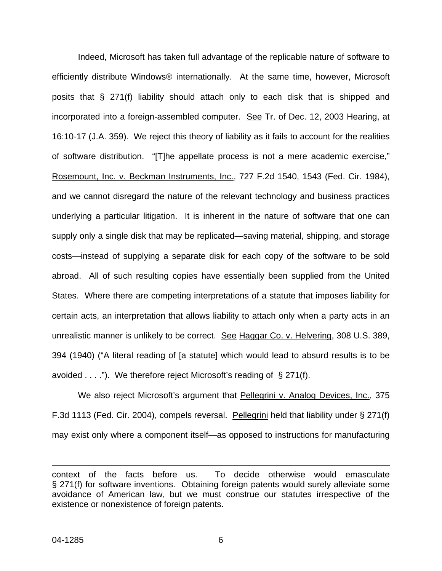Indeed, Microsoft has taken full advantage of the replicable nature of software to efficiently distribute Windows® internationally. At the same time, however, Microsoft posits that § 271(f) liability should attach only to each disk that is shipped and incorporated into a foreign-assembled computer. See Tr. of Dec. 12, 2003 Hearing, at 16:10-17 (J.A. 359). We reject this theory of liability as it fails to account for the realities of software distribution. "[T]he appellate process is not a mere academic exercise," Rosemount, Inc. v. Beckman Instruments, Inc., 727 F.2d 1540, 1543 (Fed. Cir. 1984), and we cannot disregard the nature of the relevant technology and business practices underlying a particular litigation. It is inherent in the nature of software that one can supply only a single disk that may be replicated—saving material, shipping, and storage costs—instead of supplying a separate disk for each copy of the software to be sold abroad. All of such resulting copies have essentially been supplied from the United States. Where there are competing interpretations of a statute that imposes liability for certain acts, an interpretation that allows liability to attach only when a party acts in an unrealistic manner is unlikely to be correct. See Haggar Co. v. Helvering, 308 U.S. 389, 394 (1940) ("A literal reading of [a statute] which would lead to absurd results is to be avoided . . . ."). We therefore reject Microsoft's reading of § 271(f).

We also reject Microsoft's argument that Pellegrini v. Analog Devices, Inc., 375 F.3d 1113 (Fed. Cir. 2004), compels reversal. Pellegrini held that liability under § 271(f) may exist only where a component itself—as opposed to instructions for manufacturing

<u>.</u>

context of the facts before us. To decide otherwise would emasculate § 271(f) for software inventions. Obtaining foreign patents would surely alleviate some avoidance of American law, but we must construe our statutes irrespective of the existence or nonexistence of foreign patents.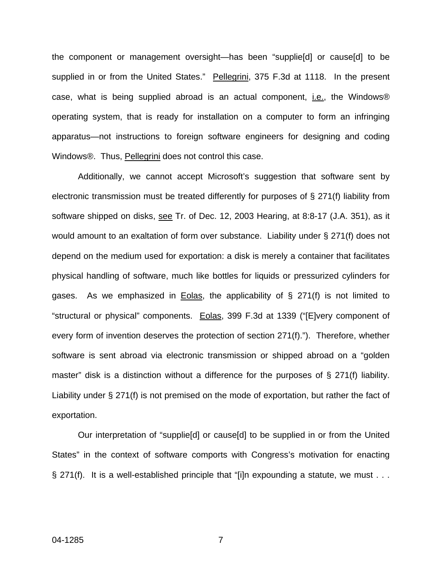the component or management oversight—has been "supplie[d] or cause[d] to be supplied in or from the United States." Pellegrini, 375 F.3d at 1118. In the present case, what is being supplied abroad is an actual component, i.e., the Windows® operating system, that is ready for installation on a computer to form an infringing apparatus—not instructions to foreign software engineers for designing and coding Windows®. Thus, Pellegrini does not control this case.

Additionally, we cannot accept Microsoft's suggestion that software sent by electronic transmission must be treated differently for purposes of § 271(f) liability from software shipped on disks, see Tr. of Dec. 12, 2003 Hearing, at 8:8-17 (J.A. 351), as it would amount to an exaltation of form over substance. Liability under § 271(f) does not depend on the medium used for exportation: a disk is merely a container that facilitates physical handling of software, much like bottles for liquids or pressurized cylinders for gases. As we emphasized in Eolas, the applicability of § 271(f) is not limited to "structural or physical" components. Eolas, 399 F.3d at 1339 ("[E]very component of every form of invention deserves the protection of section 271(f)."). Therefore, whether software is sent abroad via electronic transmission or shipped abroad on a "golden master" disk is a distinction without a difference for the purposes of § 271(f) liability. Liability under § 271(f) is not premised on the mode of exportation, but rather the fact of exportation.

Our interpretation of "supplie[d] or cause[d] to be supplied in or from the United States" in the context of software comports with Congress's motivation for enacting § 271(f). It is a well-established principle that "[i]n expounding a statute, we must . . .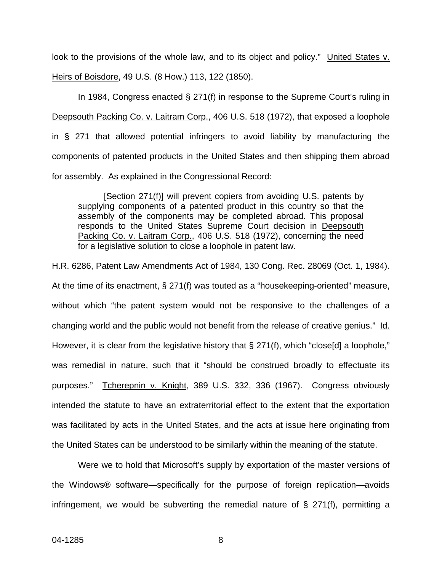look to the provisions of the whole law, and to its object and policy." United States v. Heirs of Boisdore, 49 U.S. (8 How.) 113, 122 (1850).

In 1984, Congress enacted § 271(f) in response to the Supreme Court's ruling in Deepsouth Packing Co. v. Laitram Corp., 406 U.S. 518 (1972), that exposed a loophole in § 271 that allowed potential infringers to avoid liability by manufacturing the components of patented products in the United States and then shipping them abroad for assembly. As explained in the Congressional Record:

[Section 271(f)] will prevent copiers from avoiding U.S. patents by supplying components of a patented product in this country so that the assembly of the components may be completed abroad. This proposal responds to the United States Supreme Court decision in Deepsouth Packing Co. v. Laitram Corp., 406 U.S. 518 (1972), concerning the need for a legislative solution to close a loophole in patent law.

H.R. 6286, Patent Law Amendments Act of 1984, 130 Cong. Rec. 28069 (Oct. 1, 1984). At the time of its enactment, § 271(f) was touted as a "housekeeping-oriented" measure, without which "the patent system would not be responsive to the challenges of a changing world and the public would not benefit from the release of creative genius." Id. However, it is clear from the legislative history that § 271(f), which "close[d] a loophole," was remedial in nature, such that it "should be construed broadly to effectuate its purposes." Tcherepnin v. Knight, 389 U.S. 332, 336 (1967). Congress obviously intended the statute to have an extraterritorial effect to the extent that the exportation was facilitated by acts in the United States, and the acts at issue here originating from the United States can be understood to be similarly within the meaning of the statute.

Were we to hold that Microsoft's supply by exportation of the master versions of the Windows® software—specifically for the purpose of foreign replication—avoids infringement, we would be subverting the remedial nature of § 271(f), permitting a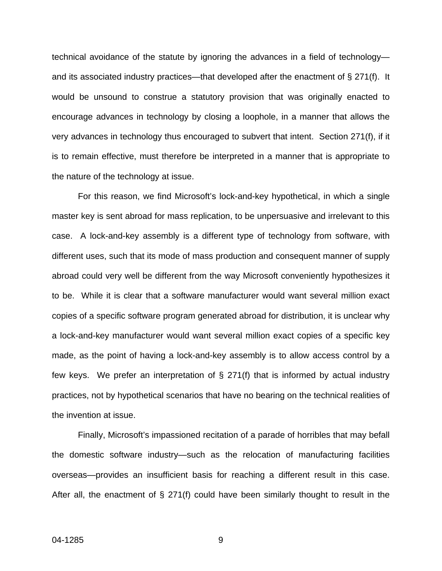technical avoidance of the statute by ignoring the advances in a field of technology and its associated industry practices—that developed after the enactment of § 271(f). It would be unsound to construe a statutory provision that was originally enacted to encourage advances in technology by closing a loophole, in a manner that allows the very advances in technology thus encouraged to subvert that intent. Section 271(f), if it is to remain effective, must therefore be interpreted in a manner that is appropriate to the nature of the technology at issue.

For this reason, we find Microsoft's lock-and-key hypothetical, in which a single master key is sent abroad for mass replication, to be unpersuasive and irrelevant to this case. A lock-and-key assembly is a different type of technology from software, with different uses, such that its mode of mass production and consequent manner of supply abroad could very well be different from the way Microsoft conveniently hypothesizes it to be. While it is clear that a software manufacturer would want several million exact copies of a specific software program generated abroad for distribution, it is unclear why a lock-and-key manufacturer would want several million exact copies of a specific key made, as the point of having a lock-and-key assembly is to allow access control by a few keys. We prefer an interpretation of § 271(f) that is informed by actual industry practices, not by hypothetical scenarios that have no bearing on the technical realities of the invention at issue.

Finally, Microsoft's impassioned recitation of a parade of horribles that may befall the domestic software industry—such as the relocation of manufacturing facilities overseas—provides an insufficient basis for reaching a different result in this case. After all, the enactment of  $\S$  271(f) could have been similarly thought to result in the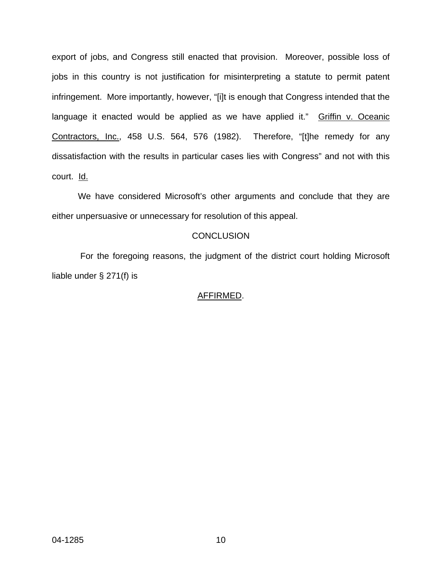export of jobs, and Congress still enacted that provision. Moreover, possible loss of jobs in this country is not justification for misinterpreting a statute to permit patent infringement. More importantly, however, "[i]t is enough that Congress intended that the language it enacted would be applied as we have applied it." Griffin v. Oceanic Contractors, Inc., 458 U.S. 564, 576 (1982). Therefore, "[t]he remedy for any dissatisfaction with the results in particular cases lies with Congress" and not with this court. Id.

We have considered Microsoft's other arguments and conclude that they are either unpersuasive or unnecessary for resolution of this appeal.

# **CONCLUSION**

For the foregoing reasons, the judgment of the district court holding Microsoft liable under § 271(f) is

## AFFIRMED.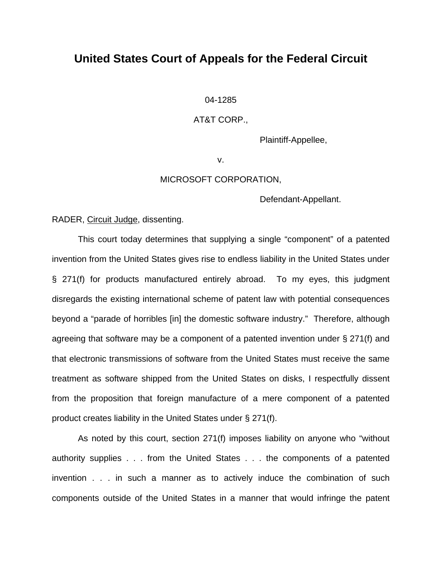# **United States Court of Appeals for the Federal Circuit**

04-1285

### AT&T CORP.,

Plaintiff-Appellee,

v.

#### MICROSOFT CORPORATION,

Defendant-Appellant.

### RADER, Circuit Judge, dissenting.

 This court today determines that supplying a single "component" of a patented invention from the United States gives rise to endless liability in the United States under § 271(f) for products manufactured entirely abroad. To my eyes, this judgment disregards the existing international scheme of patent law with potential consequences beyond a "parade of horribles [in] the domestic software industry." Therefore, although agreeing that software may be a component of a patented invention under § 271(f) and that electronic transmissions of software from the United States must receive the same treatment as software shipped from the United States on disks, I respectfully dissent from the proposition that foreign manufacture of a mere component of a patented product creates liability in the United States under § 271(f).

 As noted by this court, section 271(f) imposes liability on anyone who "without authority supplies . . . from the United States . . . the components of a patented invention . . . in such a manner as to actively induce the combination of such components outside of the United States in a manner that would infringe the patent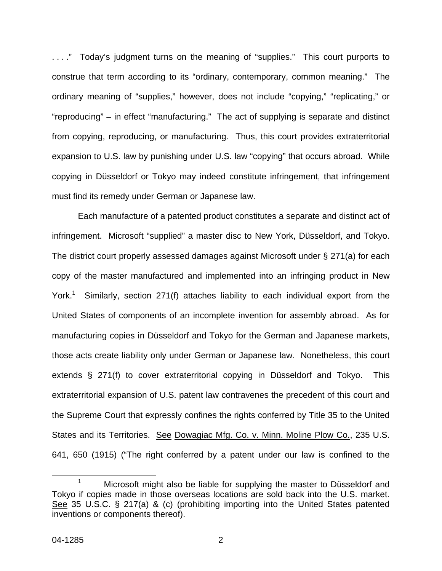. . . ." Today's judgment turns on the meaning of "supplies." This court purports to construe that term according to its "ordinary, contemporary, common meaning." The ordinary meaning of "supplies," however, does not include "copying," "replicating," or "reproducing" – in effect "manufacturing." The act of supplying is separate and distinct from copying, reproducing, or manufacturing. Thus, this court provides extraterritorial expansion to U.S. law by punishing under U.S. law "copying" that occurs abroad. While copying in Düsseldorf or Tokyo may indeed constitute infringement, that infringement must find its remedy under German or Japanese law.

Each manufacture of a patented product constitutes a separate and distinct act of infringement. Microsoft "supplied" a master disc to New York, Düsseldorf, and Tokyo. The district court properly assessed damages against Microsoft under § 271(a) for each copy of the master manufactured and implemented into an infringing product in New York.<sup>[1](#page-12-0)</sup> Similarly, section 271(f) attaches liability to each individual export from the United States of components of an incomplete invention for assembly abroad. As for manufacturing copies in Düsseldorf and Tokyo for the German and Japanese markets, those acts create liability only under German or Japanese law. Nonetheless, this court extends § 271(f) to cover extraterritorial copying in Düsseldorf and Tokyo. This extraterritorial expansion of U.S. patent law contravenes the precedent of this court and the Supreme Court that expressly confines the rights conferred by Title 35 to the United States and its Territories. See Dowagiac Mfg. Co. v. Minn. Moline Plow Co., 235 U.S. 641, 650 (1915) ("The right conferred by a patent under our law is confined to the

<span id="page-12-0"></span><sup>&</sup>lt;sup>1</sup> Microsoft might also be liable for supplying the master to Düsseldorf and Tokyo if copies made in those overseas locations are sold back into the U.S. market. See 35 U.S.C. § 217(a) & (c) (prohibiting importing into the United States patented inventions or components thereof).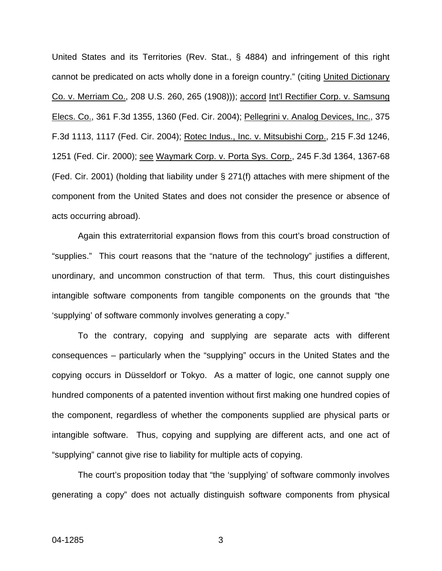United States and its Territories (Rev. Stat., § 4884) and infringement of this right cannot be predicated on acts wholly done in a foreign country." (citing United Dictionary Co. v. Merriam Co., 208 U.S. 260, 265 (1908))); accord Int'l Rectifier Corp. v. Samsung Elecs. Co., 361 F.3d 1355, 1360 (Fed. Cir. 2004); Pellegrini v. Analog Devices, Inc., 375 F.3d 1113, 1117 (Fed. Cir. 2004); Rotec Indus., Inc. v. Mitsubishi Corp., 215 F.3d 1246, 1251 (Fed. Cir. 2000); see Waymark Corp. v. Porta Sys. Corp., 245 F.3d 1364, 1367-68 (Fed. Cir. 2001) (holding that liability under § 271(f) attaches with mere shipment of the component from the United States and does not consider the presence or absence of acts occurring abroad).

Again this extraterritorial expansion flows from this court's broad construction of "supplies." This court reasons that the "nature of the technology" justifies a different, unordinary, and uncommon construction of that term. Thus, this court distinguishes intangible software components from tangible components on the grounds that "the 'supplying' of software commonly involves generating a copy."

To the contrary, copying and supplying are separate acts with different consequences – particularly when the "supplying" occurs in the United States and the copying occurs in Düsseldorf or Tokyo. As a matter of logic, one cannot supply one hundred components of a patented invention without first making one hundred copies of the component, regardless of whether the components supplied are physical parts or intangible software. Thus, copying and supplying are different acts, and one act of "supplying" cannot give rise to liability for multiple acts of copying.

The court's proposition today that "the 'supplying' of software commonly involves generating a copy" does not actually distinguish software components from physical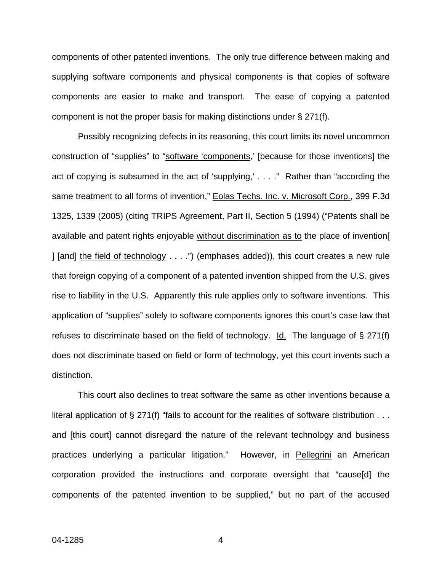components of other patented inventions. The only true difference between making and supplying software components and physical components is that copies of software components are easier to make and transport. The ease of copying a patented component is not the proper basis for making distinctions under § 271(f).

Possibly recognizing defects in its reasoning, this court limits its novel uncommon construction of "supplies" to "software 'components,' [because for those inventions] the act of copying is subsumed in the act of 'supplying,' . . . ." Rather than "according the same treatment to all forms of invention," Eolas Techs. Inc. v. Microsoft Corp., 399 F.3d 1325, 1339 (2005) (citing TRIPS Agreement, Part II, Section 5 (1994) ("Patents shall be available and patent rights enjoyable without discrimination as to the place of invention[ ] [and] the field of technology . . . .") (emphases added)), this court creates a new rule that foreign copying of a component of a patented invention shipped from the U.S. gives rise to liability in the U.S. Apparently this rule applies only to software inventions. This application of "supplies" solely to software components ignores this court's case law that refuses to discriminate based on the field of technology. Id. The language of  $\S 271(f)$ does not discriminate based on field or form of technology, yet this court invents such a distinction.

This court also declines to treat software the same as other inventions because a literal application of § 271(f) "fails to account for the realities of software distribution . . . and [this court] cannot disregard the nature of the relevant technology and business practices underlying a particular litigation." However, in Pellegrini an American corporation provided the instructions and corporate oversight that "cause[d] the components of the patented invention to be supplied," but no part of the accused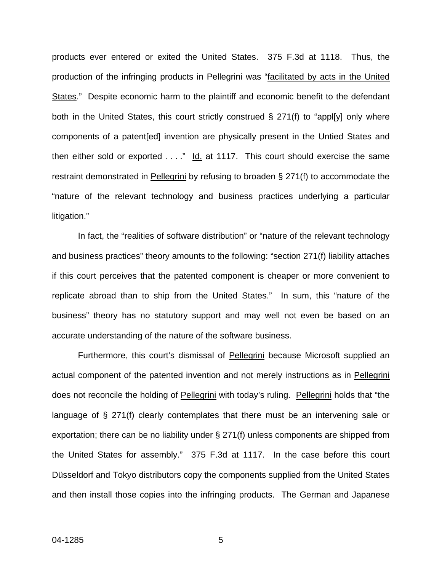products ever entered or exited the United States. 375 F.3d at 1118. Thus, the production of the infringing products in Pellegrini was "facilitated by acts in the United States." Despite economic harm to the plaintiff and economic benefit to the defendant both in the United States, this court strictly construed  $\S$  271(f) to "appl[y] only where components of a patent[ed] invention are physically present in the Untied States and then either sold or exported  $\dots$ ." Id. at 1117. This court should exercise the same restraint demonstrated in Pellegrini by refusing to broaden § 271(f) to accommodate the "nature of the relevant technology and business practices underlying a particular litigation."

In fact, the "realities of software distribution" or "nature of the relevant technology and business practices" theory amounts to the following: "section 271(f) liability attaches if this court perceives that the patented component is cheaper or more convenient to replicate abroad than to ship from the United States." In sum, this "nature of the business" theory has no statutory support and may well not even be based on an accurate understanding of the nature of the software business.

Furthermore, this court's dismissal of Pellegrini because Microsoft supplied an actual component of the patented invention and not merely instructions as in Pellegrini does not reconcile the holding of Pellegrini with today's ruling. Pellegrini holds that "the language of § 271(f) clearly contemplates that there must be an intervening sale or exportation; there can be no liability under § 271(f) unless components are shipped from the United States for assembly." 375 F.3d at 1117. In the case before this court Düsseldorf and Tokyo distributors copy the components supplied from the United States and then install those copies into the infringing products. The German and Japanese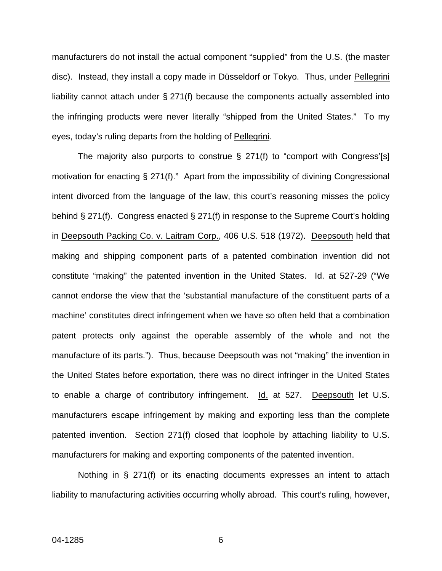manufacturers do not install the actual component "supplied" from the U.S. (the master disc). Instead, they install a copy made in Düsseldorf or Tokyo. Thus, under Pellegrini liability cannot attach under § 271(f) because the components actually assembled into the infringing products were never literally "shipped from the United States." To my eyes, today's ruling departs from the holding of Pellegrini.

The majority also purports to construe  $\S$  271(f) to "comport with Congress'[s] motivation for enacting § 271(f)." Apart from the impossibility of divining Congressional intent divorced from the language of the law, this court's reasoning misses the policy behind § 271(f). Congress enacted § 271(f) in response to the Supreme Court's holding in Deepsouth Packing Co. v. Laitram Corp., 406 U.S. 518 (1972). Deepsouth held that making and shipping component parts of a patented combination invention did not constitute "making" the patented invention in the United States. Id. at 527-29 ("We cannot endorse the view that the 'substantial manufacture of the constituent parts of a machine' constitutes direct infringement when we have so often held that a combination patent protects only against the operable assembly of the whole and not the manufacture of its parts."). Thus, because Deepsouth was not "making" the invention in the United States before exportation, there was no direct infringer in the United States to enable a charge of contributory infringement. Id. at 527. Deepsouth let U.S. manufacturers escape infringement by making and exporting less than the complete patented invention. Section 271(f) closed that loophole by attaching liability to U.S. manufacturers for making and exporting components of the patented invention.

Nothing in § 271(f) or its enacting documents expresses an intent to attach liability to manufacturing activities occurring wholly abroad. This court's ruling, however,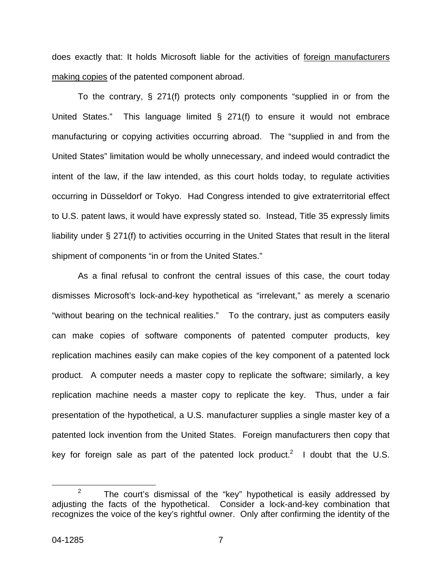does exactly that: It holds Microsoft liable for the activities of foreign manufacturers making copies of the patented component abroad.

To the contrary, § 271(f) protects only components "supplied in or from the United States." This language limited § 271(f) to ensure it would not embrace manufacturing or copying activities occurring abroad. The "supplied in and from the United States" limitation would be wholly unnecessary, and indeed would contradict the intent of the law, if the law intended, as this court holds today, to regulate activities occurring in Düsseldorf or Tokyo. Had Congress intended to give extraterritorial effect to U.S. patent laws, it would have expressly stated so. Instead, Title 35 expressly limits liability under § 271(f) to activities occurring in the United States that result in the literal shipment of components "in or from the United States."

As a final refusal to confront the central issues of this case, the court today dismisses Microsoft's lock-and-key hypothetical as "irrelevant," as merely a scenario "without bearing on the technical realities." To the contrary, just as computers easily can make copies of software components of patented computer products, key replication machines easily can make copies of the key component of a patented lock product. A computer needs a master copy to replicate the software; similarly, a key replication machine needs a master copy to replicate the key. Thus, under a fair presentation of the hypothetical, a U.S. manufacturer supplies a single master key of a patented lock invention from the United States. Foreign manufacturers then copy that key for foreign sale as part of the patented lock product.<sup>[2](#page-17-0)</sup> I doubt that the U.S.

<span id="page-17-0"></span><sup>&</sup>lt;sup>2</sup> The court's dismissal of the "key" hypothetical is easily addressed by adjusting the facts of the hypothetical. Consider a lock-and-key combination that recognizes the voice of the key's rightful owner. Only after confirming the identity of the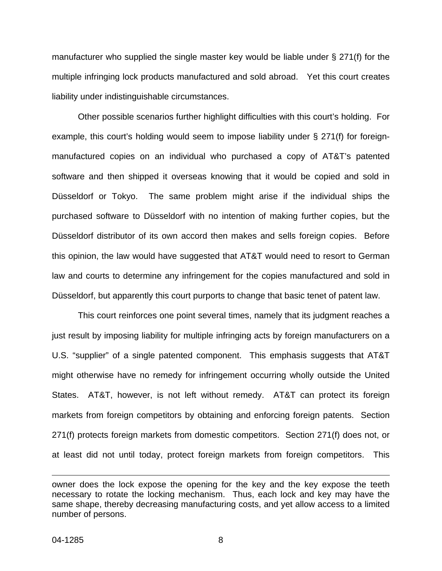manufacturer who supplied the single master key would be liable under § 271(f) for the multiple infringing lock products manufactured and sold abroad. Yet this court creates liability under indistinguishable circumstances.

Other possible scenarios further highlight difficulties with this court's holding. For example, this court's holding would seem to impose liability under § 271(f) for foreignmanufactured copies on an individual who purchased a copy of AT&T's patented software and then shipped it overseas knowing that it would be copied and sold in Düsseldorf or Tokyo. The same problem might arise if the individual ships the purchased software to Düsseldorf with no intention of making further copies, but the Düsseldorf distributor of its own accord then makes and sells foreign copies. Before this opinion, the law would have suggested that AT&T would need to resort to German law and courts to determine any infringement for the copies manufactured and sold in Düsseldorf, but apparently this court purports to change that basic tenet of patent law.

This court reinforces one point several times, namely that its judgment reaches a just result by imposing liability for multiple infringing acts by foreign manufacturers on a U.S. "supplier" of a single patented component. This emphasis suggests that AT&T might otherwise have no remedy for infringement occurring wholly outside the United States. AT&T, however, is not left without remedy. AT&T can protect its foreign markets from foreign competitors by obtaining and enforcing foreign patents. Section 271(f) protects foreign markets from domestic competitors. Section 271(f) does not, or at least did not until today, protect foreign markets from foreign competitors. This

 $\overline{a}$ 

owner does the lock expose the opening for the key and the key expose the teeth necessary to rotate the locking mechanism. Thus, each lock and key may have the same shape, thereby decreasing manufacturing costs, and yet allow access to a limited number of persons.